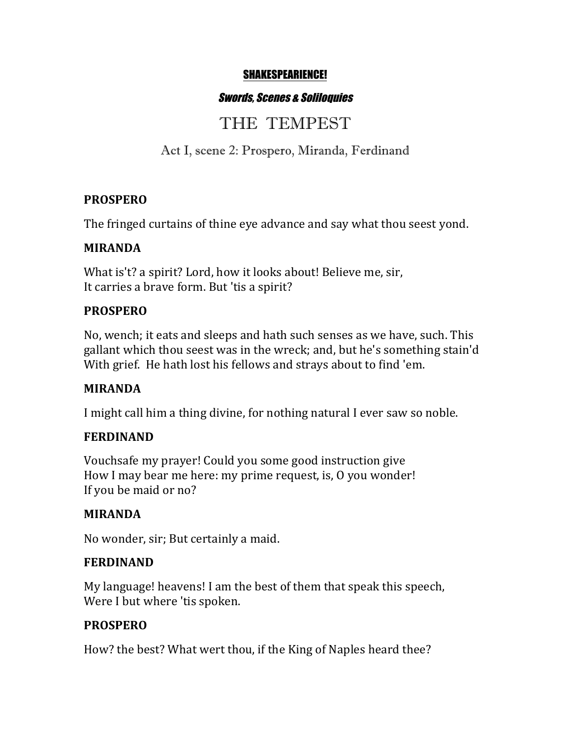#### SHAKESPEARIENCE!

## Swords, Scenes & Soliloquies

# THE TEMPEST

Act I, scene 2: Prospero, Miranda, Ferdinand

## **PROSPERO**

The fringed curtains of thine eye advance and say what thou seest yond.

#### **MIRANDA**

What is't? a spirit? Lord, how it looks about! Believe me, sir, It carries a brave form. But 'tis a spirit?

## **PROSPERO**

No, wench; it eats and sleeps and hath such senses as we have, such. This gallant which thou seest was in the wreck; and, but he's something stain'd With grief. He hath lost his fellows and strays about to find 'em.

## **MIRANDA**

I might call him a thing divine, for nothing natural I ever saw so noble.

## **FERDINAND**

Vouchsafe my prayer! Could you some good instruction give How I may bear me here: my prime request, is, O you wonder! If you be maid or no?

## **MIRANDA**

No wonder, sir; But certainly a maid.

#### **FERDINAND**

My language! heavens! I am the best of them that speak this speech, Were I but where 'tis spoken.

## **PROSPERO**

How? the best? What wert thou, if the King of Naples heard thee?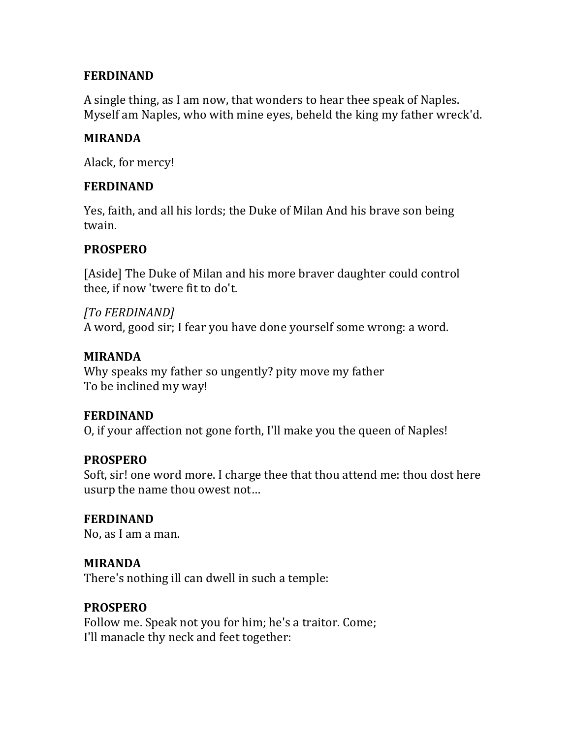## **FERDINAND**

A single thing, as I am now, that wonders to hear thee speak of Naples. Myself am Naples, who with mine eyes, beheld the king my father wreck'd.

#### **MIRANDA**

Alack, for mercy!

#### **FERDINAND**

Yes, faith, and all his lords; the Duke of Milan And his brave son being twain.

## **PROSPERO**

[Aside] The Duke of Milan and his more braver daughter could control thee, if now 'twere fit to do't.

*[To FERDINAND]* A word, good sir; I fear you have done yourself some wrong: a word.

#### **MIRANDA**

Why speaks my father so ungently? pity move my father To be inclined my way!

## **FERDINAND**

O, if your affection not gone forth, I'll make you the queen of Naples!

## **PROSPERO**

Soft, sir! one word more. I charge thee that thou attend me: thou dost here usurp the name thou owest not...

## **FERDINAND**

No, as I am a man.

#### **MIRANDA**

There's nothing ill can dwell in such a temple:

## **PROSPERO**

Follow me. Speak not you for him; he's a traitor. Come; I'll manacle thy neck and feet together: